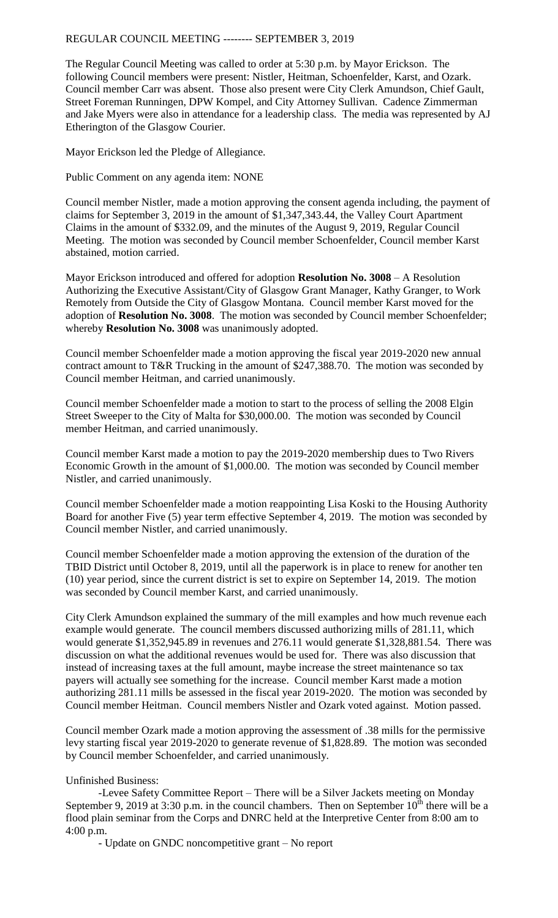## REGULAR COUNCIL MEETING -------- SEPTEMBER 3, 2019

The Regular Council Meeting was called to order at 5:30 p.m. by Mayor Erickson. The following Council members were present: Nistler, Heitman, Schoenfelder, Karst, and Ozark. Council member Carr was absent. Those also present were City Clerk Amundson, Chief Gault, Street Foreman Runningen, DPW Kompel, and City Attorney Sullivan. Cadence Zimmerman and Jake Myers were also in attendance for a leadership class. The media was represented by AJ Etherington of the Glasgow Courier.

Mayor Erickson led the Pledge of Allegiance.

Public Comment on any agenda item: NONE

Council member Nistler, made a motion approving the consent agenda including, the payment of claims for September 3, 2019 in the amount of \$1,347,343.44, the Valley Court Apartment Claims in the amount of \$332.09, and the minutes of the August 9, 2019, Regular Council Meeting. The motion was seconded by Council member Schoenfelder, Council member Karst abstained, motion carried.

Mayor Erickson introduced and offered for adoption **Resolution No. 3008** – A Resolution Authorizing the Executive Assistant/City of Glasgow Grant Manager, Kathy Granger, to Work Remotely from Outside the City of Glasgow Montana. Council member Karst moved for the adoption of **Resolution No. 3008**. The motion was seconded by Council member Schoenfelder; whereby **Resolution No. 3008** was unanimously adopted.

Council member Schoenfelder made a motion approving the fiscal year 2019-2020 new annual contract amount to T&R Trucking in the amount of \$247,388.70. The motion was seconded by Council member Heitman, and carried unanimously.

Council member Schoenfelder made a motion to start to the process of selling the 2008 Elgin Street Sweeper to the City of Malta for \$30,000.00. The motion was seconded by Council member Heitman, and carried unanimously.

Council member Karst made a motion to pay the 2019-2020 membership dues to Two Rivers Economic Growth in the amount of \$1,000.00. The motion was seconded by Council member Nistler, and carried unanimously.

Council member Schoenfelder made a motion reappointing Lisa Koski to the Housing Authority Board for another Five (5) year term effective September 4, 2019. The motion was seconded by Council member Nistler, and carried unanimously.

Council member Schoenfelder made a motion approving the extension of the duration of the TBID District until October 8, 2019, until all the paperwork is in place to renew for another ten (10) year period, since the current district is set to expire on September 14, 2019. The motion was seconded by Council member Karst, and carried unanimously.

City Clerk Amundson explained the summary of the mill examples and how much revenue each example would generate. The council members discussed authorizing mills of 281.11, which would generate \$1,352,945.89 in revenues and 276.11 would generate \$1,328,881.54. There was discussion on what the additional revenues would be used for. There was also discussion that instead of increasing taxes at the full amount, maybe increase the street maintenance so tax payers will actually see something for the increase. Council member Karst made a motion authorizing 281.11 mills be assessed in the fiscal year 2019-2020. The motion was seconded by Council member Heitman. Council members Nistler and Ozark voted against. Motion passed.

Council member Ozark made a motion approving the assessment of .38 mills for the permissive levy starting fiscal year 2019-2020 to generate revenue of \$1,828.89. The motion was seconded by Council member Schoenfelder, and carried unanimously.

Unfinished Business:

-Levee Safety Committee Report – There will be a Silver Jackets meeting on Monday September 9, 2019 at 3:30 p.m. in the council chambers. Then on September  $10^{th}$  there will be a flood plain seminar from the Corps and DNRC held at the Interpretive Center from 8:00 am to 4:00 p.m.

- Update on GNDC noncompetitive grant – No report